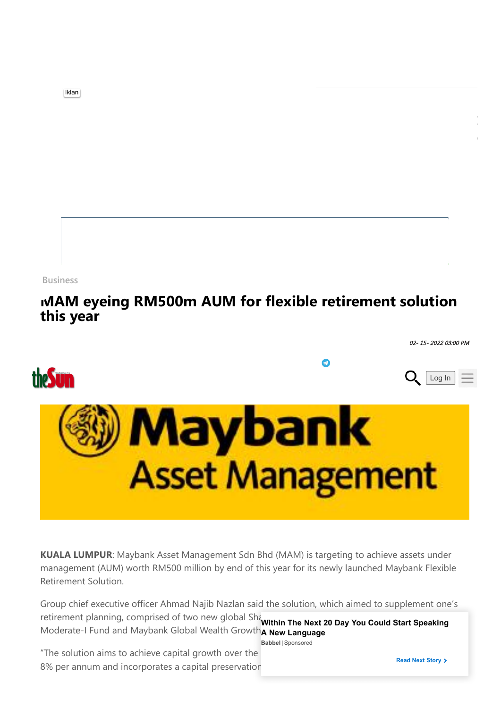**[Business](https://www.thesundaily.my/business)**

## **[MAM eyeing RM500m AUM for flexible retirement solution](https://www.thesundaily.my/business/mam-eyeing-rm500m-aum-for-flexible-retirement-solution-this-year-BN8861636) this year**

02- 15- 2022 03:00 PM



**KUALA LUMPUR**: Maybank Asset Management Sdn Bhd (MAM) is targeting to achieve assets under management (AUM) worth RM500 million by end of this year for its newly launched Maybank Flexible Retirement Solution.

Group chief executive officer Ahmad Najib Nazlan said the solution, which aimed to supplement one's retirement planning, comprised of two new global Shankin The Next 20 Day You Could Start Speaking Moderate-I Fund and Maybank Global Wealth Growth<sub>A New Language</sub>

**Babbel** | [Sponsored](https://popup.taboola.com/en/?template=colorbox&utm_source=thesundaily&utm_medium=referral&utm_content=next-up-a:Next%20Up:)

"The solution aims to achieve capital growth over the 8% per annum and incorporates a capital preservation

[Iklan](https://googleads.g.doubleclick.net/aclk?sa=l&ai=CoyDU1tIdYpCfO4mF9fwP4aeIqAHNz9LeaLHIj7rWDojw9fyNDhABIMegsJABYMubgoXAF6AB6fSLvwPIAQapAryHq6KXvag-4AIAqAMByAPLBKoE7wJP0K69SjLSvEr1bm6OAK8K1-hr9FXIwNahoPje5C7iVTdY1Wc2V09h3t-EdTRESX3SpiY3i97z-QyOl7yhsCinh7-QeeAGAGd0YuDsskUKIeV-CyESEXzIEFBGcFykpGEuuOkj5nopEVqUl5B6ZdMBFOnOLSkSVRXwoDcZ9lbo6EAzi1BdleCN8qDX_UsZ0qULay8-mEUisBLntCDQgRxkvMpGw0sMTZ3tbQND0itpJ8e1SGsiA5SmKH26s3tIsGVnTfxEY4tiPA_FnJOrjHVt7DI-rUM8zjNsIDda8vie_O37ekw3h3GYGEeVVgIPXIDOD-CpHv5B5RM2tCZlSnbQYf2tjADV76NjgA8Tj3lOPIrCziOQeuBLQ4_oVjdwGAeMFYqxUfsJ5vjhM3gUxJgDsvcep7AF3kHaGaroe8aMHP24TjX08bOJx0KYxaVo8HQeI0IAHgP1IpNGrHnM3kxQ8iS9qESJnYFT4tY31VP6wASo-4O_ygPgBAGgBjeAB5KkmdIBqAeOzhuoB5PYG6gH7paxAqgH_p6xAqgHpKOxAqgH1ckbqAemvhuoB_PRG6gHltgbqAeqm7ECqAffn7EC2AcB0ggHCIBhEAEYHbEJbtHyjuCmnVOACgOKCvEBaHR0cHM6Ly9vdmguY29tbWFuZGVyMS5jb20vYzMvP3Rjcz0zODEwJmNtcD1pZF9pbnRfb3ZoX3dlYl91bmRlZmluaXRlX2F3YXJlbmVzc19yZWFjaF9kaW1nX29mZmVuc2l2ZV9NYWxheXNpYSZjdHk9SUQmc2l0ZV9kb21haW49aHR0cHM6Ly93d3cub3ZoLmNvbS9hc2lhLyZkZXY9YyZzZW1fZ3JwPSZzZW1fa3c9JnRjbGlkPTU0NTc5NzI5MzgyOCZjaG49ZGlzcGxheSZzcmM9Z29vZ2xlJnVybD17bHB1cmx9JnNpdGVsaW5rPZgLAcgLAeALAbgMAdgTDYgUA9AVAfgWAYAXAQ&ae=1&num=1&sig=AOD64_25is7B8V3MgX4wFN07Y6vjxyWK5g&client=ca-pub-6480054480478840&nb=9&adurl=https://www.ovhcloud.com/asia/web-hosting/%3Fxtor%3DSEC-13-GOO-%5Bid_int_ovh_web_undefinite_awareness_reach_dimg_offensive_Malaysia()%5D-%5B545797293828%5D-C-%5B%5D%26xts%3D%26gclid%3DEAIaIQobChMIkOKik7mk9gIViUKdCR3hEwIVEAEYASAAEgLsQ_D_BwE)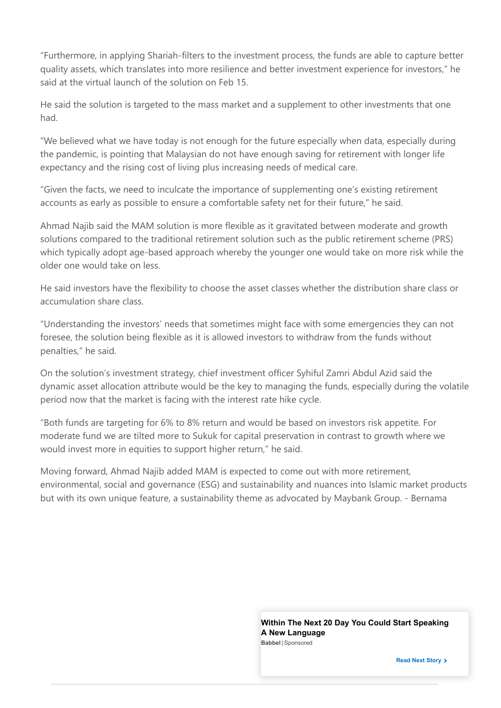"Furthermore, in applying Shariah-filters to the investment process, the funds are able to capture better quality assets, which translates into more resilience and better investment experience for investors," he said at the virtual launch of the solution on Feb 15.

He said the solution is targeted to the mass market and a supplement to other investments that one had.

"We believed what we have today is not enough for the future especially when data, especially during the pandemic, is pointing that Malaysian do not have enough saving for retirement with longer life expectancy and the rising cost of living plus increasing needs of medical care.

"Given the facts, we need to inculcate the importance of supplementing one's existing retirement accounts as early as possible to ensure a comfortable safety net for their future," he said.

Ahmad Najib said the MAM solution is more flexible as it gravitated between moderate and growth solutions compared to the traditional retirement solution such as the public retirement scheme (PRS) which typically adopt age-based approach whereby the younger one would take on more risk while the older one would take on less.

He said investors have the flexibility to choose the asset classes whether the distribution share class or accumulation share class.

"Understanding the investors' needs that sometimes might face with some emergencies they can not foresee, the solution being flexible as it is allowed investors to withdraw from the funds without penalties," he said.

On the solution's investment strategy, chief investment officer Syhiful Zamri Abdul Azid said the dynamic asset allocation attribute would be the key to managing the funds, especially during the volatile period now that the market is facing with the interest rate hike cycle.

"Both funds are targeting for 6% to 8% return and would be based on investors risk appetite. For moderate fund we are tilted more to Sukuk for capital preservation in contrast to growth where we would invest more in equities to support higher return," he said.

Moving forward, Ahmad Najib added MAM is expected to come out with more retirement, environmental, social and governance (ESG) and sustainability and nuances into Islamic market products but with its own unique feature, a sustainability theme as advocated by Maybank Group. - Bernama

> **Babbel** | [Sponsored](https://popup.taboola.com/en/?template=colorbox&utm_source=thesundaily&utm_medium=referral&utm_content=next-up-a:Next%20Up:) **[Within The Next 20 Day You Could Start Speaking](https://go.babbel.com/v1/tl?bsc=engunb-morewaystolearn-cd-global-xo-tb&btp=default&utm_source=Taboola&utm_medium=CON&utm_campaign=CD_ENGALL_gEN_cXO_morewaystolearn_TB_Global&utm_content=1052253_13754420_3048044999&tcid=GiAkExw1P81XRjMdiNoI4TK9-L4DKJ8-OsTptp75aA6CXiDuxj0oxpbS64L3mqGlAQ&tblci=GiAkExw1P81XRjMdiNoI4TK9-L4DKJ8-OsTptp75aA6CXiDuxj0oxpbS64L3mqGlAQ#tblciGiAkExw1P81XRjMdiNoI4TK9-L4DKJ8-OsTptp75aA6CXiDuxj0oxpbS64L3mqGlAQ) A New Language**

> > **Read Next Story**